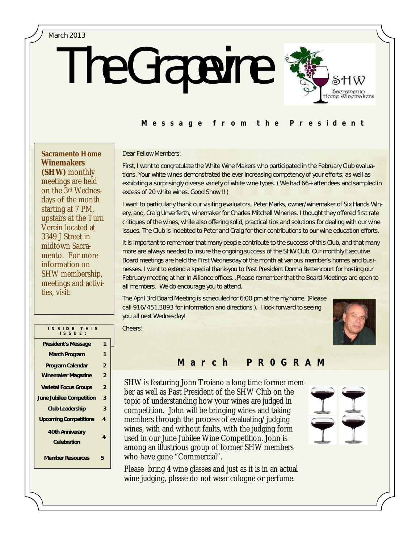# March 2013

# The Grapevine



# **M e s s a g e f r o m t h e P r e s i d e n t**

# **Sacramento Home Winemakers**

meetings are held on the 3rd Wednesdays of the month starting at 7 PM, upstairs at the Turn Verein located at 3349 J Street in midtown Sacramento. For more information on SHW membership, meetings and activities, visit:

| Winemakers |               |
|------------|---------------|
|            | (SHW) monthly |
|            |               |

Dear Fellow Members:

First, I want to congratulate the White Wine Makers who participated in the February Club evaluations. Your white wines demonstrated the ever increasing competency of your efforts; as well as exhibiting a surprisingly diverse variety of white wine types. ( We had 66+ attendees and sampled in excess of 20 white wines. Good Show !! )

I want to particularly thank our visiting evaluators, Peter Marks, owner/winemaker of Six Hands Winery, and, Craig Unverferth, winemaker for Charles Mitchell Wineries. I thought they offered first rate critiques of the wines, while also offering solid, practical tips and solutions for dealing with our wine issues. The Club is indebted to Peter and Craig for their contributions to our wine education efforts.

It is important to remember that many people contribute to the success of this Club, and that many more are always needed to insure the ongoing success of the SHW Club. Our monthly Executive Board meetings are held the First Wednesday of the month at various member's homes and businesses. I want to extend a special thank-you to Past President Donna Bettencourt for hosting our February meeting at her In Alliance offices. .Please remember that the Board Meetings are open to all members. We do encourage you to attend.

The April 3rd Board Meeting is scheduled for 6:00 pm at the my home. (Please call 916/451.3893 for information and directions.). I look forward to seeing you all next Wednesday!



Cheers!

# **M a r c h P R 0 G R A M**

SHW is featuring John Troiano a long time former member as well as Past President of the SHW Club on the topic of understanding how your wines are judged in competition. John will be bringing wines and taking members through the process of evaluating/judging wines, with and without faults, with the judging form used in our June Jubilee Wine Competition. John is among an illustrious group of former SHW members who have gone "Commercial".

Please bring 4 wine glasses and just as it is in an actual wine judging, please do not wear cologne or perfume.



**I N S I D E T H I S I S S U E : President's Message 1 March Program 1 Program Calendar 2 Winemaker Magazine 2 Varietal Focus Groups 2 June Jubilee Competition 3 Club Leadership 3 Upcoming Competitions 4 40th Anniverary Celebration 4**

**Member Resources 5**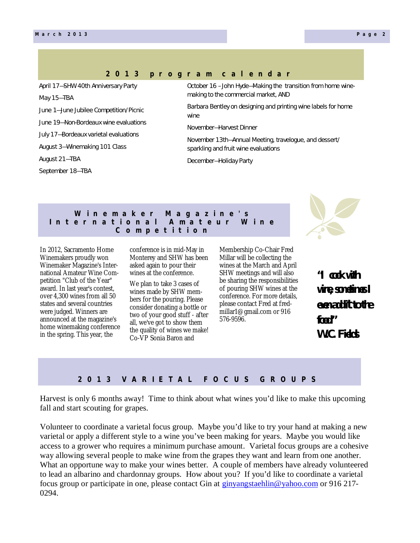#### **2 0 1 3 p r o g r a m c a l e n d a r**

April 17—SHW 40th Anniversary Party

May 15—TBA

June 1—June Jubilee Competition/Picnic June 19—Non-Bordeaux wine evaluations July 17—Bordeaux varietal evaluations August 3—Winemaking 101 Class August 21—TBA September 18—TBA

October 16 –John Hyde—Making the transition from home winemaking to the commercial market, AND

Barbara Bentley on designing and printing wine labels for home wine

November—Harvest Dinner

November 13th—Annual Meeting, travelogue, and dessert/ sparkling and fruit wine evaluations

December—Holiday Party

# **W i n e m a k e r M a g a z i n e ' s I n t e r n a t i o n a l A m a t e u r W i n e C o m p e t i t i o n**

In 2012, Sacramento Home Winemakers proudly won Winemaker Magazine's International Amateur Wine Competition "Club of the Year" award. In last year's contest, over 4,300 wines from all 50 states and several countries were judged. Winners are announced at the magazine's home winemaking conference in the spring. This year, the

conference is in mid-May in Monterey and SHW has been asked again to pour their wines at the conference.

We plan to take 3 cases of wines made by SHW members for the pouring. Please consider donating a bottle or two of your good stuff - after all, we've got to show them the quality of wines we make! Co-VP Sonia Baron and

Membership Co-Chair Fred Millar will be collecting the wines at the March and April SHW meetings and will also be sharing the responsibilities of pouring SHW wines at the conference. For more details, please contact Fred at fredmillar1@gmail.com or 916 576-9596.

**"I cook with wine, sometimes I even add it to the food." W.C. Fields**

# **2 0 1 3 V A R I E T A L F O C U S G R O U P S**

Harvest is only 6 months away! Time to think about what wines you'd like to make this upcoming fall and start scouting for grapes.

Volunteer to coordinate a varietal focus group. Maybe you'd like to try your hand at making a new varietal or apply a different style to a wine you've been making for years. Maybe you would like access to a grower who requires a minimum purchase amount. Varietal focus groups are a cohesive way allowing several people to make wine from the grapes they want and learn from one another. What an opportune way to make your wines better. A couple of members have already volunteered to lead an albarino and chardonnay groups. How about you? If you'd like to coordinate a varietal focus group or participate in one, please contact Gin at  $g$ inyangstaehlin@yahoo.com or 916 217-0294.

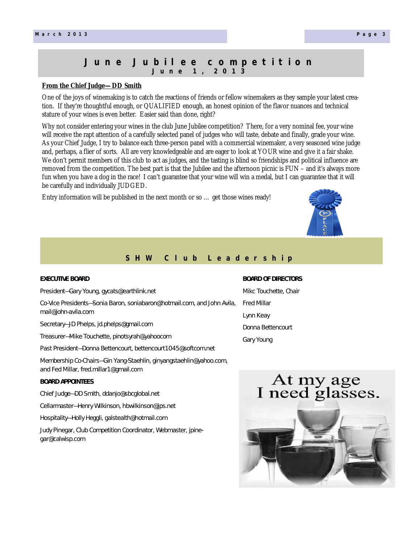# **J u n e J u b i l e e c o m p e t i t i o n J u n e 1 , 2 0 1 3**

#### **From the Chief Judge—DD Smith**

One of the joys of winemaking is to catch the reactions of friends or fellow winemakers as they sample your latest creation. If they're thoughtful enough, or QUALIFIED enough, an honest opinion of the flavor nuances and technical stature of your wines is even better. Easier said than done, right?

Why not consider entering your wines in the club June Jubilee competition? There, for a very nominal fee, your wine will receive the rapt attention of a carefully selected panel of judges who will taste, debate and finally, grade your wine. As your Chief Judge, I try to balance each three-person panel with a commercial winemaker, a very seasoned wine judge and, perhaps, a flier of sorts. All are very knowledgeable and are eager to look at YOUR wine and give it a fair shake. We don't permit members of this club to act as judges, and the tasting is blind so friendships and political influence are removed from the competition. The best part is that the Jubilee and the afternoon picnic is FUN – and it's always more fun when you have a dog in the race! I can't guarantee that your wine will win a medal, but I can guarantee that it will be carefully and individually JUDGED.

Entry information will be published in the next month or so … get those wines ready!



# **S H W C l u b L e a d e r s h i p**

#### **EXECUTIVE BOARD**

President—Gary Young, gycats@earthlink.net

Co-Vice Presidents–Sonia Baron, soniabaron@hotmail.com, and John Avila, Fred Millar mail@john-avila.com

Secretary—JD Phelps, jd.phelps@gmail.com

Treasurer—Mike Touchette, pinotsyrah@yahoocom

Past President—Donna Bettencourt, bettencourt1045@softcom.net

Membership Co-Chairs—Gin Yang-Staehlin, ginyangstaehlin@yahoo.com, and Fed Millar, fred.millar1@gmail.com

# **BOARD APPOINTEES**

Chief Judge—DD Smith, ddanjo@sbcglobal.net

Cellarmaster—Henry Wilkinson, hbwilkinson@jps.net

Hospitality—Holly Heggli, galstealth@hotmail.com

Judy Pinegar, Club Competition Coordinator, Webmaster, jpinegar@calwisp.com

#### **BOARD OF DIRECTORS**

Mikc Touchette, Chair Lynn Keay Donna Bettencourt Gary Young

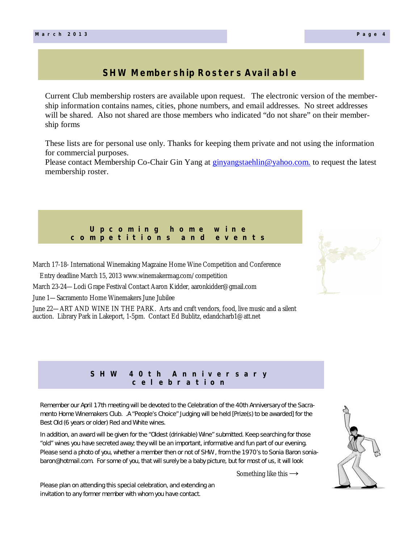# **SHW Membership Rosters Available**

Current Club membership rosters are available upon request. The electronic version of the membership information contains names, cities, phone numbers, and email addresses. No street addresses will be shared. Also not shared are those members who indicated "do not share" on their membership forms

These lists are for personal use only. Thanks for keeping them private and not using the information for commercial purposes.

Please contact Membership Co-Chair Gin Yang at ginyangstaehlin@yahoo.com. to request the latest membership roster.

# **U p c o m i n g h o m e w i n e c o m p e t i t i o n s a n d e v e n t s**

March 17-18- International Winemaking Magzaine Home Wine Competition and Conference

Entry deadline March 15, 2013 www.winemakermag.com/competition

invitation to any former member with whom you have contact.

March 23-24—Lodi Grape Festival Contact Aaron Kidder, aaronkidder@gmail.com

June 1—Sacramento Home Winemakers June Jubilee

June 22—ART AND WINE IN THE PARK. Arts and craft vendors, food, live music and a silent auction. Library Park in Lakeport, 1-5pm. Contact Ed Bublitz, edandcharb1@att.net

# **S H W 4 0 t h A n n i v e r s a r y c e l e b r a t i o n**

Remember our April 17th meeting will be devoted to the Celebration of the 40th Anniversary of the Sacramento Home Winemakers Club. .A "People's Choice" Judging will be held [Prize(s) to be awarded] for the Best Old (6 years or older) Red and White wines.

In addition, an award will be given for the "Oldest (drinkable) Wine" submitted. Keep searching for those "old" wines you have secreted away; they will be an important, informative and fun part of our evening. Please send a photo of you, whether a member then or not of SHW , from the 1970's to Sonia Baron soniabaron@hotmail.com. For some of you, that will surely be a baby picture, but for most of us, it will look

Something like this  $\rightarrow$ 





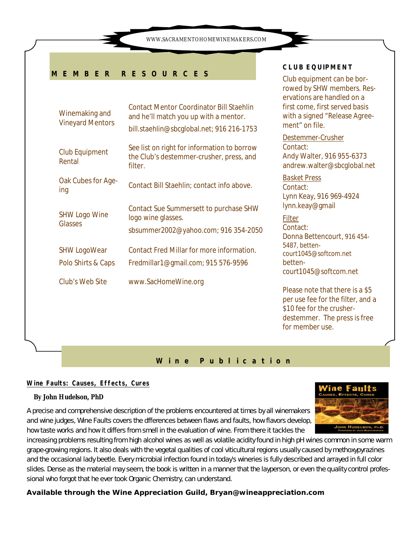WWW.SACRAMENTOHOMEWINEMAKERS.COM

# **M E M B E R R E S O U R C E S**

| Winemaking and<br><b>Vineyard Mentors</b> | <b>Contact Mentor Coordinator Bill Staehlin</b><br>and he'll match you up with a mentor.           |
|-------------------------------------------|----------------------------------------------------------------------------------------------------|
|                                           | bill.staehlin@sbcqlobal.net; 916 216-1753                                                          |
| <b>Club Equipment</b><br>Rental           | See list on right for information to borrow<br>the Club's destemmer-crusher, press, and<br>filter. |
| Oak Cubes for Age-<br>ing                 | Contact Bill Staehlin; contact info above.                                                         |
| <b>SHW Logo Wine</b><br><b>Glasses</b>    | Contact Sue Summersett to purchase SHW<br>logo wine glasses.                                       |
|                                           | sbsummer2002@yahoo.com; 916 354-2050                                                               |
| <b>SHW LogoWear</b>                       | Contact Fred Millar for more information.                                                          |
| Polo Shirts & Caps                        | Fredmillar1@gmail.com; 915 576-9596                                                                |
| Club's Web Site                           | www.SacHomeWine.org                                                                                |
|                                           |                                                                                                    |

# **CLUB EQUIPMENT**

Club equipment can be borrowed by SHW members. Reservations are handled on a first come, first served basis with a signed "Release Agreement" on file.

*Destemmer-Crusher* Contact: Andy Walter, 916 955-6373 andrew.walter@sbcglobal.net

# *Basket Press*

Contact: Lynn Keay, 916 969-4924 lynn.keay@gmail

*Filter*  Contact: Donna Bettencourt, 916 454- 5487, bettencourt1045@softcom.net bettencourt1045@softcom.net

Please note that there is a \$5 per use fee for the filter, and a \$10 fee for the crusherdestemmer. The press is free for member use.

# Wine Publication

# **Wine Faults: Causes, Effects, Cures**

### **By John Hudelson, PhD**

A precise and comprehensive description of the problems encountered at times by all winemakers and wine judges, Wine Faults covers the dfferences between flaws and faults, how flavors develop, how taste works and how it differs from smell in the evaluation of wine. From there it tackles the



increasing problems resulting from high alcohol wines as well as volatile acidity found in high pH wines common in some warm grape-growing regions. It also deals with the vegetal qualities of cool viticultural regions usually caused by methoxypyrazines and the occasional lady beetle. Every microbial infection found in today's wineries is fully described and arrayed in full color slides. Dense as the material may seem, the book is written in a manner that the layperson, or even the quality control professional who forgot that he ever took Organic Chemistry, can understand.

# **Available through the Wine Appreciation Guild, Bryan@wineappreciation.com**